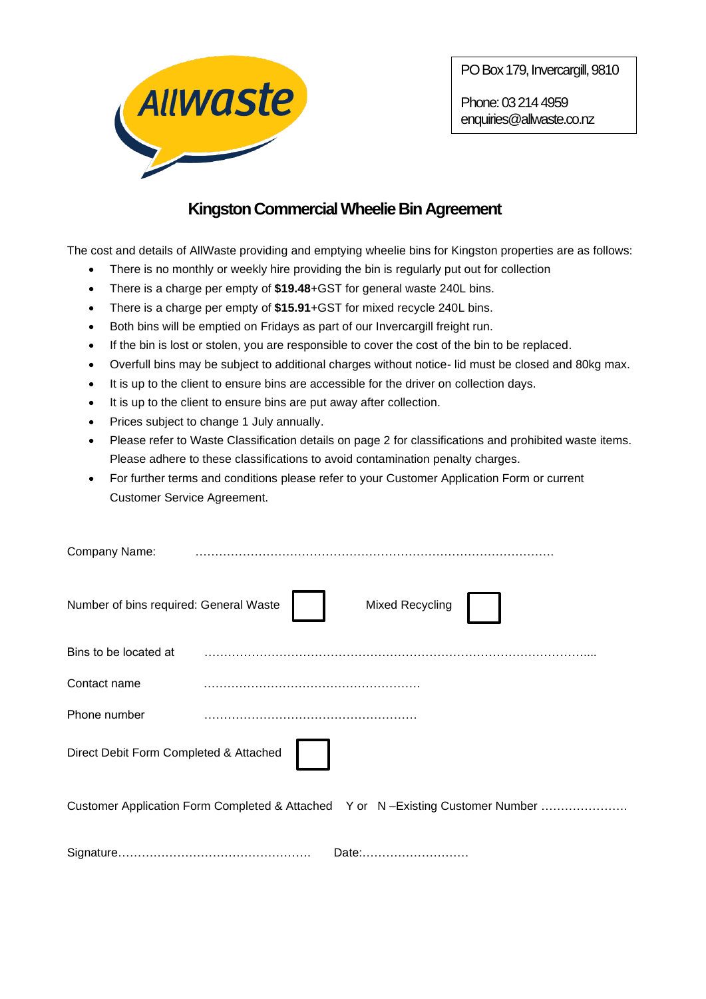PO Box 179, Invercargill, 9810



Phone: 03 214 4959 enquiries@allwaste.co.nz

## **KingstonCommercial Wheelie Bin Agreement**

The cost and details of AllWaste providing and emptying wheelie bins for Kingston properties are as follows:

- There is no monthly or weekly hire providing the bin is regularly put out for collection
- There is a charge per empty of **\$19.48**+GST for general waste 240L bins.
- There is a charge per empty of **\$15.91**+GST for mixed recycle 240L bins.
- Both bins will be emptied on Fridays as part of our Invercargill freight run.
- If the bin is lost or stolen, you are responsible to cover the cost of the bin to be replaced.
- Overfull bins may be subject to additional charges without notice- lid must be closed and 80kg max.
- It is up to the client to ensure bins are accessible for the driver on collection days.
- It is up to the client to ensure bins are put away after collection.
- Prices subject to change 1 July annually.
- Please refer to Waste Classification details on page 2 for classifications and prohibited waste items. Please adhere to these classifications to avoid contamination penalty charges.
- For further terms and conditions please refer to your Customer Application Form or current Customer Service Agreement.

| Company Name:                                                                  |  |                        |  |
|--------------------------------------------------------------------------------|--|------------------------|--|
| Number of bins required: General Waste                                         |  | <b>Mixed Recycling</b> |  |
| Bins to be located at                                                          |  |                        |  |
| Contact name                                                                   |  |                        |  |
| Phone number                                                                   |  |                        |  |
| Direct Debit Form Completed & Attached                                         |  |                        |  |
| Customer Application Form Completed & Attached Y or N-Existing Customer Number |  |                        |  |
|                                                                                |  | Date:                  |  |